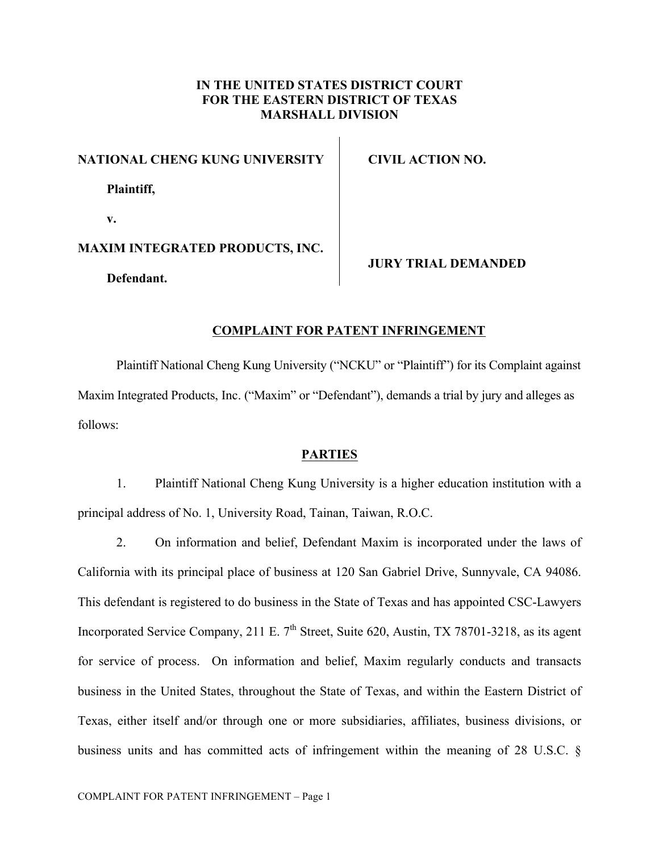## **IN THE UNITED STATES DISTRICT COURT FOR THE EASTERN DISTRICT OF TEXAS MARSHALL DIVISION**

 $\mathbf{I}$ 

| NATIONAL CHENG KUNG UNIVERSITY         | CIVIL ACTION NO.           |
|----------------------------------------|----------------------------|
| Plaintiff,                             |                            |
| v.                                     |                            |
| <b>MAXIM INTEGRATED PRODUCTS, INC.</b> | <b>JURY TRIAL DEMANDED</b> |
| Defendant.                             |                            |

## **COMPLAINT FOR PATENT INFRINGEMENT**

Plaintiff National Cheng Kung University ("NCKU" or "Plaintiff") for its Complaint against Maxim Integrated Products, Inc. ("Maxim" or "Defendant"), demands a trial by jury and alleges as follows:

## **PARTIES**

1. Plaintiff National Cheng Kung University is a higher education institution with a principal address of No. 1, University Road, Tainan, Taiwan, R.O.C.

2. On information and belief, Defendant Maxim is incorporated under the laws of California with its principal place of business at 120 San Gabriel Drive, Sunnyvale, CA 94086. This defendant is registered to do business in the State of Texas and has appointed CSC-Lawyers Incorporated Service Company, 211 E.  $7<sup>th</sup>$  Street, Suite 620, Austin, TX 78701-3218, as its agent for service of process. On information and belief, Maxim regularly conducts and transacts business in the United States, throughout the State of Texas, and within the Eastern District of Texas, either itself and/or through one or more subsidiaries, affiliates, business divisions, or business units and has committed acts of infringement within the meaning of 28 U.S.C. §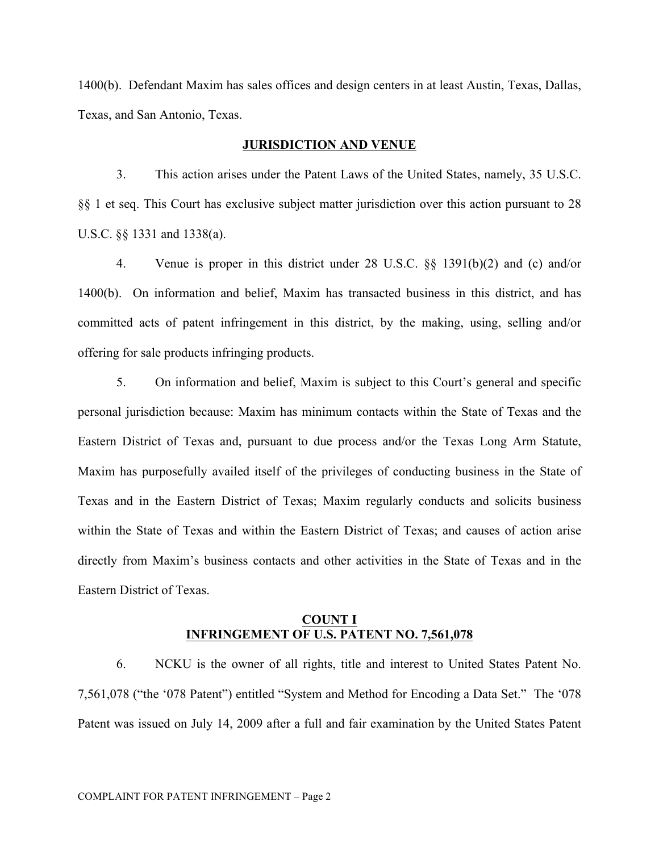1400(b). Defendant Maxim has sales offices and design centers in at least Austin, Texas, Dallas, Texas, and San Antonio, Texas.

#### **JURISDICTION AND VENUE**

3. This action arises under the Patent Laws of the United States, namely, 35 U.S.C. §§ 1 et seq. This Court has exclusive subject matter jurisdiction over this action pursuant to 28 U.S.C. §§ 1331 and 1338(a).

4. Venue is proper in this district under 28 U.S.C. §§ 1391(b)(2) and (c) and/or 1400(b). On information and belief, Maxim has transacted business in this district, and has committed acts of patent infringement in this district, by the making, using, selling and/or offering for sale products infringing products.

5. On information and belief, Maxim is subject to this Court's general and specific personal jurisdiction because: Maxim has minimum contacts within the State of Texas and the Eastern District of Texas and, pursuant to due process and/or the Texas Long Arm Statute, Maxim has purposefully availed itself of the privileges of conducting business in the State of Texas and in the Eastern District of Texas; Maxim regularly conducts and solicits business within the State of Texas and within the Eastern District of Texas; and causes of action arise directly from Maxim's business contacts and other activities in the State of Texas and in the Eastern District of Texas.

## **COUNT I INFRINGEMENT OF U.S. PATENT NO. 7,561,078**

6. NCKU is the owner of all rights, title and interest to United States Patent No. 7,561,078 ("the '078 Patent") entitled "System and Method for Encoding a Data Set." The '078 Patent was issued on July 14, 2009 after a full and fair examination by the United States Patent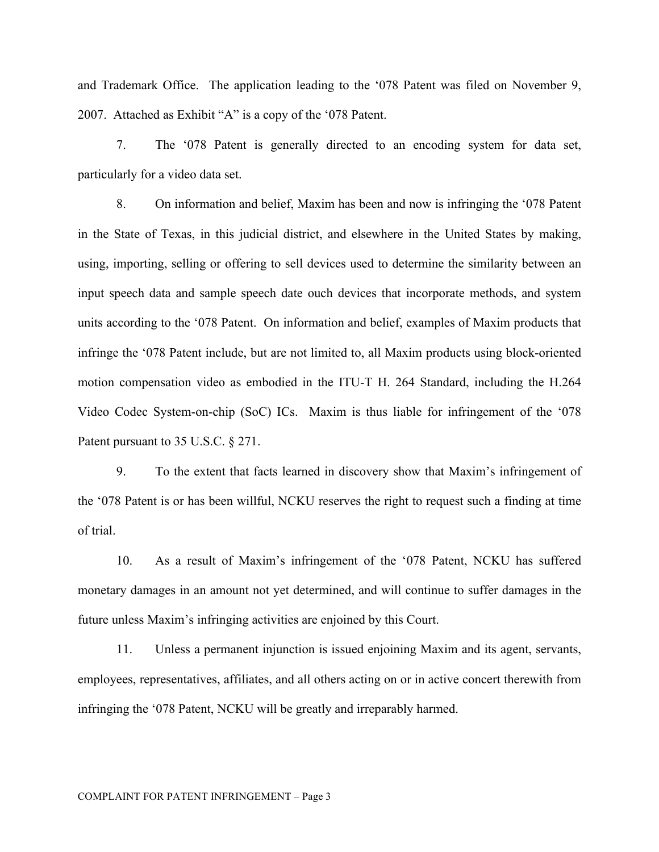and Trademark Office. The application leading to the '078 Patent was filed on November 9, 2007. Attached as Exhibit "A" is a copy of the '078 Patent.

7. The '078 Patent is generally directed to an encoding system for data set, particularly for a video data set.

8. On information and belief, Maxim has been and now is infringing the '078 Patent in the State of Texas, in this judicial district, and elsewhere in the United States by making, using, importing, selling or offering to sell devices used to determine the similarity between an input speech data and sample speech date ouch devices that incorporate methods, and system units according to the '078 Patent. On information and belief, examples of Maxim products that infringe the '078 Patent include, but are not limited to, all Maxim products using block-oriented motion compensation video as embodied in the ITU-T H. 264 Standard, including the H.264 Video Codec System-on-chip (SoC) ICs. Maxim is thus liable for infringement of the '078 Patent pursuant to 35 U.S.C. § 271.

9. To the extent that facts learned in discovery show that Maxim's infringement of the '078 Patent is or has been willful, NCKU reserves the right to request such a finding at time of trial.

10. As a result of Maxim's infringement of the '078 Patent, NCKU has suffered monetary damages in an amount not yet determined, and will continue to suffer damages in the future unless Maxim's infringing activities are enjoined by this Court.

11. Unless a permanent injunction is issued enjoining Maxim and its agent, servants, employees, representatives, affiliates, and all others acting on or in active concert therewith from infringing the '078 Patent, NCKU will be greatly and irreparably harmed.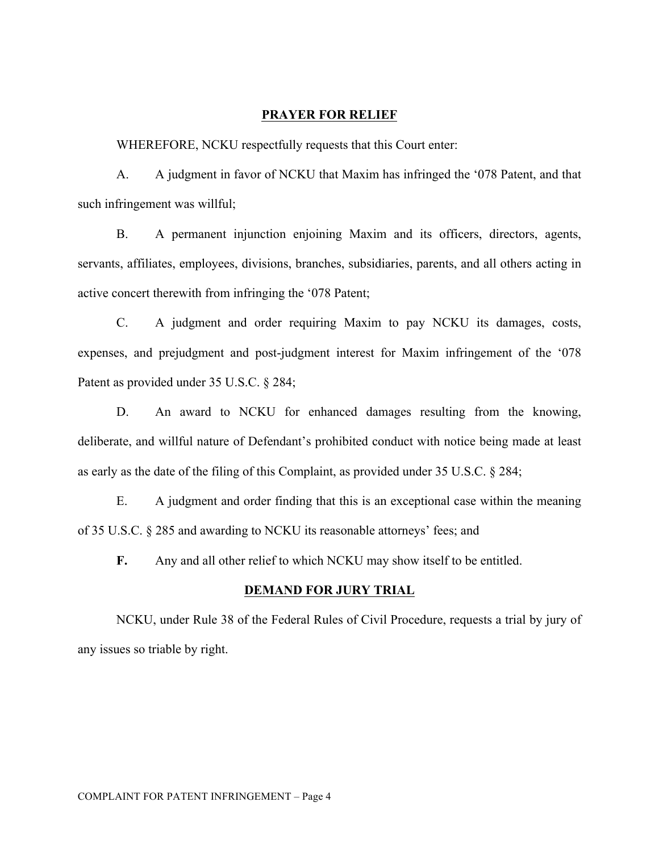## **PRAYER FOR RELIEF**

WHEREFORE, NCKU respectfully requests that this Court enter:

A. A judgment in favor of NCKU that Maxim has infringed the '078 Patent, and that such infringement was willful;

B. A permanent injunction enjoining Maxim and its officers, directors, agents, servants, affiliates, employees, divisions, branches, subsidiaries, parents, and all others acting in active concert therewith from infringing the '078 Patent;

C. A judgment and order requiring Maxim to pay NCKU its damages, costs, expenses, and prejudgment and post-judgment interest for Maxim infringement of the '078 Patent as provided under 35 U.S.C. § 284;

D. An award to NCKU for enhanced damages resulting from the knowing, deliberate, and willful nature of Defendant's prohibited conduct with notice being made at least as early as the date of the filing of this Complaint, as provided under 35 U.S.C. § 284;

E. A judgment and order finding that this is an exceptional case within the meaning of 35 U.S.C. § 285 and awarding to NCKU its reasonable attorneys' fees; and

**F.** Any and all other relief to which NCKU may show itself to be entitled.

## **DEMAND FOR JURY TRIAL**

NCKU, under Rule 38 of the Federal Rules of Civil Procedure, requests a trial by jury of any issues so triable by right.